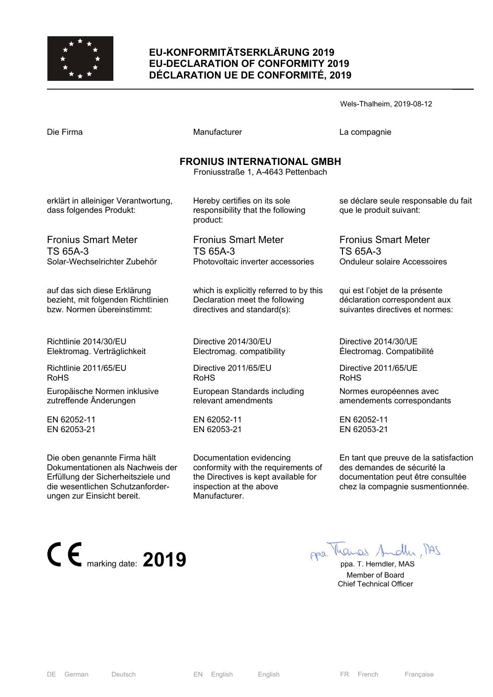

# **EU-KONFORMITÄTSERKLÄRUNG 2019 EU-DECLARATION OF CONFORMITY 2019 DÉCLARATION UE DE CONFORMITÉ, 2019**

|                                                                 |                                                                               | Wels-Thalheim, 2019-08-12                                       |
|-----------------------------------------------------------------|-------------------------------------------------------------------------------|-----------------------------------------------------------------|
| Die Firma                                                       | Manufacturer                                                                  | La compagnie                                                    |
|                                                                 | <b>FRONIUS INTERNATIONAL GMBH</b><br>Froniusstraße 1, A-4643 Pettenbach       |                                                                 |
| erklärt in alleiniger Verantwortung,<br>dass folgendes Produkt: | Hereby certifies on its sole<br>responsibility that the following<br>product: | se déclare seule responsable du fait<br>que le produit suivant: |
| <b>Fronius Smart Meter</b>                                      | <b>Fronius Smart Meter</b>                                                    | <b>Fronius Smart Meter</b>                                      |
| TS 65A-3                                                        | TS 65A-3                                                                      | TS 65A-3                                                        |
| Solar-Wechselrichter Zubehör                                    | Photovoltaic inverter accessories                                             | <b>Onduleur solaire Accessoires</b>                             |
| auf das sich diese Erklärung                                    | which is explicitly referred to by this                                       | qui est l'objet de la présente                                  |
| bezieht, mit folgenden Richtlinien                              | Declaration meet the following                                                | déclaration correspondent aux                                   |
| bzw. Normen übereinstimmt:                                      | directives and standard(s):                                                   | suivantes directives et normes:                                 |
| Richtlinie 2014/30/EU                                           | Directive 2014/30/EU                                                          | Directive 2014/30/UE                                            |
| Elektromag. Verträglichkeit                                     | Electromag. compatibility                                                     | Électromag. Compatibilité                                       |
| Richtlinie 2011/65/EU                                           | Directive 2011/65/EU                                                          | Directive 2011/65/UE                                            |
| <b>RoHS</b>                                                     | <b>RoHS</b>                                                                   | <b>RoHS</b>                                                     |
| Europäische Normen inklusive                                    | European Standards including                                                  | Normes européennes avec                                         |
| zutreffende Änderungen                                          | relevant amendments                                                           | amendements correspondants                                      |
| EN 62052-11                                                     | EN 62052-11                                                                   | EN 62052-11                                                     |

EN 62053-21 Die oben genannte Firma hält

Dokumentationen als Nachweis der Erfüllung der Sicherheitsziele und die wesentlichen Schutzanforderungen zur Einsicht bereit.



En tant que preuve de la satisfaction

des demandes de sécurité la documentation peut être consultée chez la compagnie susmentionnée.

EN 62053-21

 Member of Board Chief Technical Officer

EN 62053-21

Manufacturer.

Documentation evidencing

inspection at the above

conformity with the requirements of the Directives is kept available for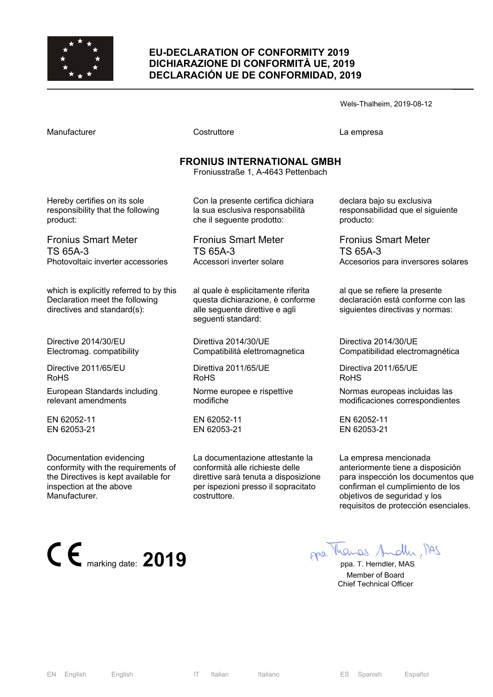

### **EU-DECLARATION OF CONFORMITY 2019 DICHIARAZIONE DI CONFORMITÀ UE, 2019 DECLARACIÓN UE DE CONFORMIDAD, 2019**

Wels-Thalheim, 2019-08-12

Costruttore **Costruttore** La empresa

# **FRONIUS INTERNATIONAL GMBH**

Froniusstraße 1, A-4643 Pettenbach

Hereby certifies on its sole responsibility that the following product:

Fronius Smart Meter TS 65A-3 Photovoltaic inverter accessories

which is explicitly referred to by this Declaration meet the following directives and standard(s):

Directive 2014/30/EU Electromag. compatibility

Directive 2011/65/EU RoHS

European Standards including relevant amendments

EN 62052-11 EN 62053-21

Documentation evidencing conformity with the requirements of the Directives is kept available for inspection at the above Manufacturer.



Con la presente certifica dichiara la sua esclusiva responsabilità che il seguente prodotto:

Fronius Smart Meter TS 65A-3 Accessori inverter solare

al quale è esplicitamente riferita questa dichiarazione, è conforme alle seguente direttive e agli seguenti standard:

Direttiva 2014/30/UE Compatibilità elettromagnetica

Direttiva 2011/65/UE RoHS

Norme europee e rispettive modifiche

EN 62052-11 EN 62053-21

La documentazione attestante la conformità alle richieste delle direttive sarà tenuta a disposizione per ispezioni presso il sopracitato costruttore.

declara bajo su exclusiva responsabilidad que el siguiente producto:

Fronius Smart Meter TS 65A-3 Accesorios para inversores solares

al que se refiere la presente declaración está conforme con las siguientes directivas y normas:

Directiva 2014/30/UE Compatibilidad electromagnética

Directiva 2011/65/UE RoHS

Normas europeas incluidas las modificaciones correspondientes

EN 62052-11 EN 62053-21

La empresa mencionada anteriormente tiene a disposición para inspección los documentos que confirman el cumplimiento de los objetivos de seguridad y los requisitos de protección esenciales.

 Member of Board Chief Technical Officer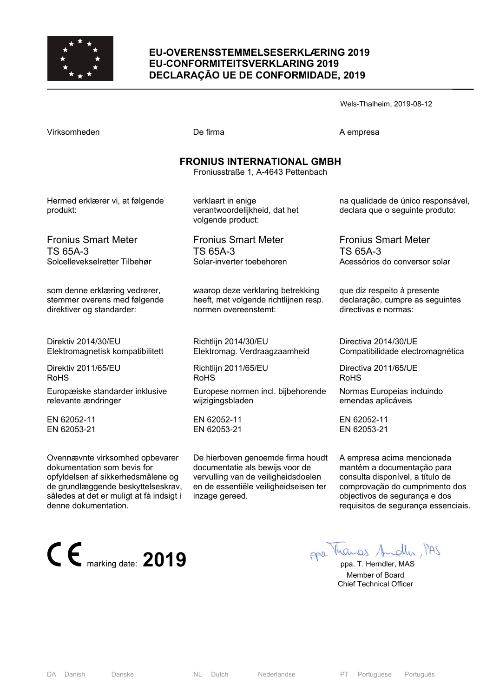

### **EU-OVERENSSTEMMELSESERKLÆRING 2019 EU-CONFORMITEITSVERKLARING 2019 DECLARAÇÃO UE DE CONFORMIDADE, 2019**

Wels-Thalheim, 2019-08-12

|                                   | Froniusstraße 1, A-4643 Pettenbach                                       |                                                                       |
|-----------------------------------|--------------------------------------------------------------------------|-----------------------------------------------------------------------|
| d erklærer vi, at følgende<br>:t: | verklaart in enige<br>verantwoordelijkheid, dat het<br>volgende product: | na qualidade de único responsável,<br>declara que o seguinte produto: |
| us Smart Meter                    | <b>Fronius Smart Meter</b>                                               | <b>Fronius Smart Meter</b>                                            |
| 5А-3                              | TS 65A-3                                                                 | TS 65A-3                                                              |
| evekselretter Tilbehør            | Solar-inverter toebehoren                                                | Acessórios do conversor solar                                         |
| enne erklæring vedrører,          | waarop deze verklaring betrekking                                        | que diz respeito à presente                                           |
| er overens med følgende           | heeft, met volgende richtlijnen resp.                                    | declaração, cumpre as seguintes                                       |
| er og standarder:                 | normen overeenstemt:                                                     | directivas e normas:                                                  |
| v 2014/30/EU                      | Richtlijn 2014/30/EU                                                     | Directiva 2014/30/UE                                                  |
| magnetisk kompatibilitett         | Elektromag. Verdraagzaamheid                                             | Compatibilidade electromagnética                                      |
| v 2011/65/EU                      | Richtlijn 2011/65/EU<br><b>RoHS</b>                                      | Directiva 2011/65/UE<br><b>RoHS</b>                                   |
| æiske standarder inklusive        | Europese normen incl. bijbehorende                                       | Normas Europeias incluindo                                            |
| าte ændringer                     | wijzigingsbladen                                                         | emendas aplicáveis                                                    |
| 052-11                            | EN 62052-11                                                              | EN 62052-11                                                           |
| 053-21                            | EN 62053-21                                                              | EN 62053-21                                                           |

documentatie als bewijs voor de

inzage gereed.

De hierboven genoemde firma houdt vervulling van de veiligheidsdoelen en de essentiële veiligheidseisen ter A empresa acima mencionada mantém a documentação para consulta disponível, a título de comprovação do cumprimento dos objectivos de segurança e dos requisitos de segurança essenciais.

# **FRONIUS INTERNATIONAL GMBH**

Virksomheden **De firma** De firma A empresa

Herme produk

Froniu  $TS<sub>65</sub>$ Solcelle

som de stemme direktiv

Direktiv Elektro

Direktiv RoHS

Europa relevan

EN 620 EN 620

Ovennævnte virksomhed opbevarer dokumentation som bevis for opfyldelsen af sikkerhedsmålene og de grundlæggende beskyttelseskrav, således at det er muligt at få indsigt i denne dokumentation.



 Member of Board Chief Technical Officer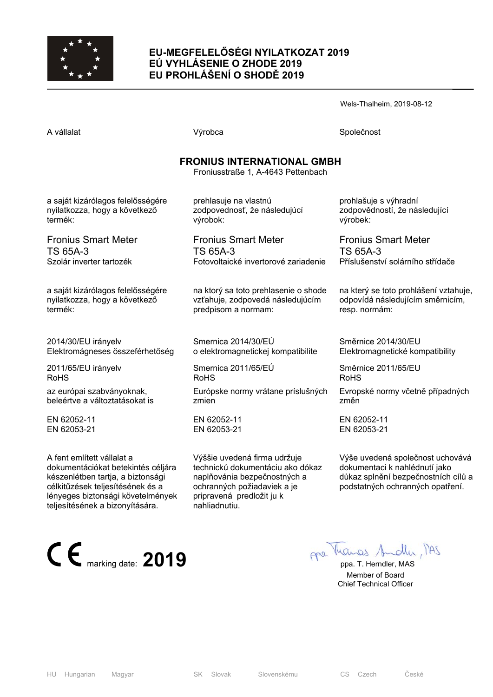

# **EU-MEGFELELŐSÉGI NYILATKOZAT 2019 EÚ VYHLÁSENIE O ZHODE 2019 EU PROHLÁŠENÍ O SHODĚ 2019**

Wels-Thalheim, 2019-08-12

|                                                                    | <b>FRONIUS INTERN</b><br>Froniusstraße 1, A |
|--------------------------------------------------------------------|---------------------------------------------|
| a saját kizárólagos felelősségére<br>nyilatkozza, hogy a következő | prehlasuje na vlast<br>zodpovednosť, že     |

Fronius Smart Meter TS 65A-3

Szolár inverter tartozék

termék:

a saját kizárólagos felelősségére nyilatkozza, hogy a következő termék:

2014/30/EU irányelv Elektromágneses összeférhetőség

2011/65/EU irányelv RoHS

az európai szabványoknak, beleértve a változtatásokat is

EN 62052-11 EN 62053-21

A fent említett vállalat a dokumentációkat betekintés céljára készenlétben tartja, a biztonsági célkitűzések teljesítésének és a lényeges biztonsági követelmények teljesítésének a bizonyítására.



A vállalat **A** vállalat Společnost **Výrobca** Společnost Společnost

# **FAATIONAL GMBH**

-4643 Pettenbach

tnú zodpovednosť, že následujúcí výrobok:

Fronius Smart Meter TS 65A-3 Fotovoltaické invertorové zariadenie

na ktorý sa toto prehlasenie o shode vzťahuje, zodpovedá následujúcím predpisom a normam:

Smernica 2014/30/EÚ o elektromagnetickej kompatibilite

Smernica 2011/65/EÚ RoHS Európske normy vrátane príslušných zmien

EN 62052-11 EN 62053-21

Výššie uvedená firma udržuje technickú dokumentáciu ako dókaz naplňovánia bezpečnostných a ochranných požiadaviek a je pripravená predložit ju k nahliadnutiu.

prohlašuje s výhradní zodpovědností, že následující výrobek:

Fronius Smart Meter TS 65A-3 Příslušenství solárního střídače

na který se toto prohlášení vztahuje, odpovídá následujícím směrnicím, resp. normám:

Směrnice 2014/30/EU Elektromagnetické kompatibility

Směrnice 2011/65/EU RoHS

Evropské normy včetně případných změn

EN 62052-11 EN 62053-21

Výše uvedená společnost uchovává dokumentaci k nahlédnutí jako důkaz splnění bezpečnostních cílů a podstatných ochranných opatření.

 Member of Board Chief Technical Officer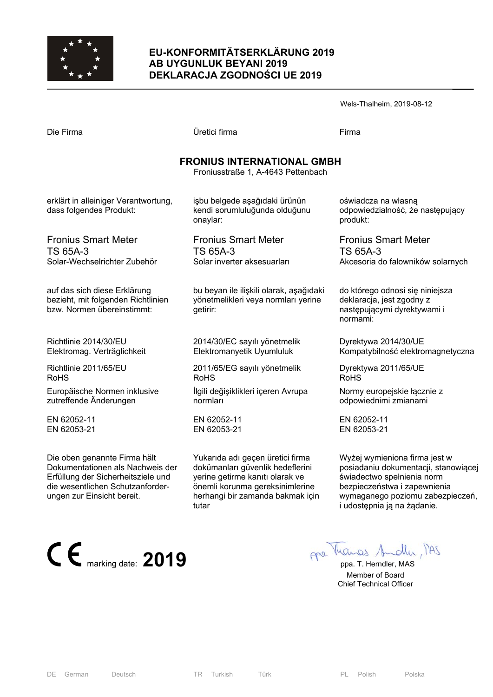

## **EU-KONFORMITÄTSERKLÄRUNG 2019 AB UYGUNLUK BEYANI 2019 DEKLARACJA ZGODNOŚCI UE 2019**

Wels-Thalheim, 2019-08-12 Die Firma Üretici firma Firma **FRONIUS INTERNATIONAL GMBH**  Froniusstraße 1, A-4643 Pettenbach

erklärt in alleiniger Verantwortung, dass folgendes Produkt:

Fronius Smart Meter TS 65A-3 Solar-Wechselrichter Zubehör

auf das sich diese Erklärung bezieht, mit folgenden Richtlinien bzw. Normen übereinstimmt:

Richtlinie 2014/30/EU Elektromag. Verträglichkeit

Richtlinie 2011/65/EU RoHS

Europäische Normen inklusive zutreffende Änderungen

EN 62052-11 EN 62053-21

Die oben genannte Firma hält Dokumentationen als Nachweis der Erfüllung der Sicherheitsziele und die wesentlichen Schutzanforderungen zur Einsicht bereit.



işbu belgede aşağıdaki ürünün kendi sorumluluğunda olduğunu onaylar:

Fronius Smart Meter TS 65A-3 Solar inverter aksesuarları

bu beyan ile ilişkili olarak, aşağıdaki yönetmelikleri veya normları yerine getirir:

2014/30/EC sayılı yönetmelik Elektromanyetik Uyumluluk

2011/65/EG sayılı yönetmelik RoHS

İlgili değişiklikleri içeren Avrupa normları

EN 62052-11 EN 62053-21

Yukarıda adı geçen üretici firma dokümanları güvenlik hedeflerini yerine getirme kanıtı olarak ve önemli korunma gereksinimlerine herhangi bir zamanda bakmak için tutar

oświadcza na własną odpowiedzialność, że następujący produkt:

Fronius Smart Meter TS 65A-3 Akcesoria do falowników solarnych

do którego odnosi się niniejsza deklaracja, jest zgodny z następującymi dyrektywami i normami:

Dyrektywa 2014/30/UE Kompatybilność elektromagnetyczna

Dyrektywa 2011/65/UE RoHS

Normy europejskie łącznie z odpowiednimi zmianami

EN 62052-11 EN 62053-21

Wyżej wymieniona firma jest w posiadaniu dokumentacji, stanowiącej świadectwo spełnienia norm bezpieczeństwa i zapewnienia wymaganego poziomu zabezpieczeń, i udostępnia ją na żądanie.

 Member of Board Chief Technical Officer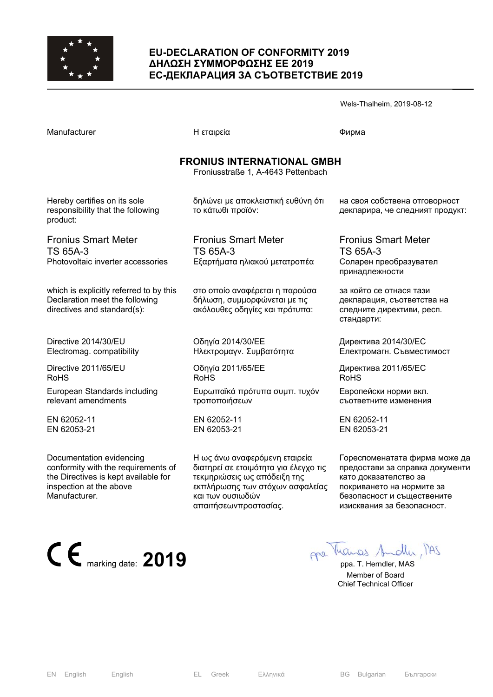

### **EU-DECLARATION OF CONFORMITY 2019 ΔΗΛΩΣΗ ΣΥΜΜΟΡΦΩΣΗΣ ΕΕ 2019 ЕС-ДЕКЛАРАЦИЯ ЗА СЪОТВЕТСТВИЕ 2019**

|                                                                                                          |                                                                                                  | Wels-Thalheim, 2019-08-12                                                                        |
|----------------------------------------------------------------------------------------------------------|--------------------------------------------------------------------------------------------------|--------------------------------------------------------------------------------------------------|
| Manufacturer                                                                                             | Η εταιρεία                                                                                       | Фирма                                                                                            |
|                                                                                                          | <b>FRONIUS INTERNATIONAL GMBH</b><br>Froniusstraße 1, A-4643 Pettenbach                          |                                                                                                  |
| Hereby certifies on its sole<br>responsibility that the following<br>product:                            | δηλώνει με αποκλειστική ευθύνη ότι<br>το κάτωθι προϊόν:                                          | на своя собствена отговорност<br>декларира, че следният продукт:                                 |
| <b>Fronius Smart Meter</b><br>TS 65A-3<br>Photovoltaic inverter accessories                              | <b>Fronius Smart Meter</b><br>TS 65A-3<br>Εξαρτήματα ηλιακού μετατροπέα                          | <b>Fronius Smart Meter</b><br>TS 65A-3<br>Соларен преобразувател<br>принадлежности               |
| which is explicitly referred to by this<br>Declaration meet the following<br>directives and standard(s): | στο οποίο αναφέρεται η παρούσα<br>δήλωση, συμμορφώνεται με τις<br>ακόλουθες οδηγίες και πρότυπα: | за който се отнася тази<br>декларация, съответства на<br>следните директиви, респ.<br>стандарти: |
| Directive 2014/30/EU<br>Electromag. compatibility                                                        | Οδηγία 2014/30/ΕΕ<br>Ηλεκτρομαγν. Συμβατότητα                                                    | Директива 2014/30/ЕС<br>Електромагн. Съвместимост                                                |
| Directive 2011/65/EU<br><b>RoHS</b>                                                                      | Οδηγία 2011/65/ΕΕ<br><b>RoHS</b>                                                                 | Директива 2011/65/ЕС<br><b>RoHS</b>                                                              |
| European Standards including<br>relevant amendments                                                      | Ευρωπαϊκά πρότυπα συμπ. τυχόν<br>τροποποιήσεων                                                   | Европейски норми вкл.<br>съответните изменения                                                   |
| EN 62052-11<br>EN 62053-21                                                                               | EN 62052-11<br>EN 62053-21                                                                       | EN 62052-11<br>EN 62053-21                                                                       |

Η ως άνω αναφερόμενη εταιρεία διατηρεί σε ετοιμότητα για έλεγχο τις τεκμηριώσεις ως απόδειξη της εκπλήρωσης των στόχων ασφαλείας

και των ουσιωδών απαιτήσεωνπροστασίας.

Documentation evidencing conformity with the requirements of the Directives is kept available for inspection at the above Manufacturer.

**CE** marking date: **2019 pp**a. T. Herndler, MAS

като доказателство за покриването на нормите за безопасност и съществените изисквания за безопасност.

Гореспоменатата фирма може да предостави за справка документи

 Member of Board Chief Technical Officer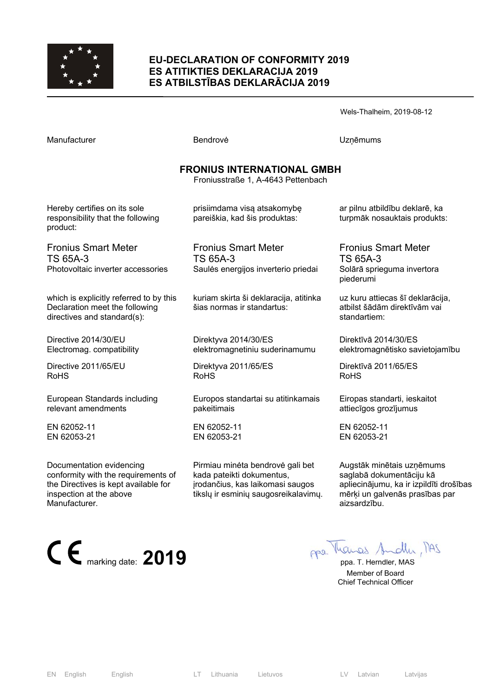

#### **EU-DECLARATION OF CONFORMITY 2019 ES ATITIKTIES DEKLARACIJA 2019 ES ATBILSTĪBAS DEKLARĀCIJA 2019**

Wels-Thalheim, 2019-08-12

Manufacturer **Manufacturer Execute UZņēmums** Bendrovė **UZņēmums** 

# **FRONIUS INTERNATIONAL GMBH**

Froniusstraße 1, A-4643 Pettenbach

Hereby certifies on its sole responsibility that the following product:

Fronius Smart Meter TS 65A-3 Photovoltaic inverter accessories

which is explicitly referred to by this Declaration meet the following directives and standard(s):

Directive 2014/30/EU Electromag. compatibility

Directive 2011/65/EU RoHS

European Standards including relevant amendments

EN 62052-11 EN 62053-21

Documentation evidencing conformity with the requirements of the Directives is kept available for inspection at the above Manufacturer.



pareiškia, kad šis produktas:

prisiimdama visą atsakomybę

Fronius Smart Meter TS 65A-3 Saulės energijos inverterio priedai

kuriam skirta ši deklaracija, atitinka šias normas ir standartus:

Direktyva 2014/30/ES elektromagnetiniu suderinamumu

Direktyva 2011/65/ES RoHS

Europos standartai su atitinkamais pakeitimais

EN 62052-11 EN 62053-21

Pirmiau minėta bendrovė gali bet kada pateikti dokumentus, įrodančius, kas laikomasi saugos tikslų ir esminių saugosreikalavimų. ar pilnu atbildību deklarē, ka turpmāk nosauktais produkts:

Fronius Smart Meter TS 65A-3 Solārā sprieguma invertora piederumi

uz kuru attiecas šī deklarācija, atbilst šādām direktīvām vai standartiem:

Direktīvā 2014/30/ES elektromagnētisko savietojamību

Direktīvā 2011/65/ES RoHS

Eiropas standarti, ieskaitot attiecīgos grozījumus

EN 62052-11 EN 62053-21

Augstāk minētais uzņēmums saglabā dokumentāciju kā apliecinājumu, ka ir izpildīti drošības mērķi un galvenās prasības par aizsardzību.

 Member of Board Chief Technical Officer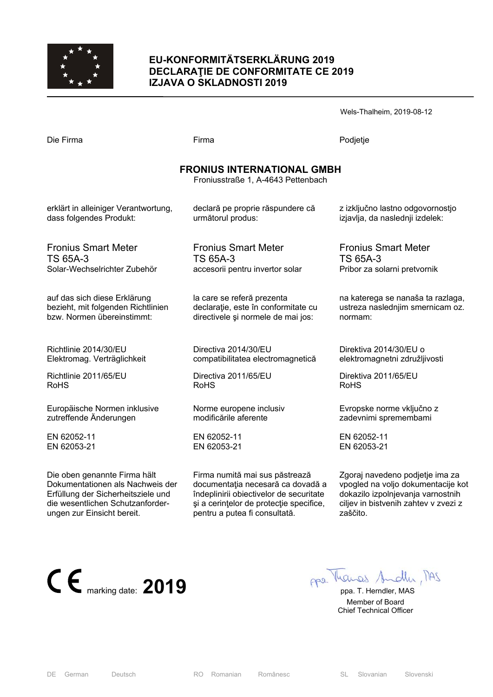

### **EU-KONFORMITÄTSERKLÄRUNG 2019 DECLARAŢIE DE CONFORMITATE CE 2019 IZJAVA O SKLADNOSTI 2019**

Wels-Thalheim, 2019-08-12

Die Firma Firma Podjetje

# **FRONIUS INTERNATIONAL GMBH**

Froniusstraße 1, A-4643 Pettenbach

erklärt in alleiniger Verantwortung, dass folgendes Produkt:

declară pe proprie răspundere că următorul produs:

Fronius Smart Meter TS 65A-3 Solar-Wechselrichter Zubehör

auf das sich diese Erklärung bezieht, mit folgenden Richtlinien bzw. Normen übereinstimmt:

Richtlinie 2014/30/EU Elektromag. Verträglichkeit

Richtlinie 2011/65/EU RoHS

Europäische Normen inklusive zutreffende Änderungen

EN 62052-11 EN 62053-21

Die oben genannte Firma hält Dokumentationen als Nachweis der Erfüllung der Sicherheitsziele und die wesentlichen Schutzanforderungen zur Einsicht bereit.

Fronius Smart Meter TS 65A-3 accesorii pentru invertor solar

la care se referă prezenta declarație, este în conformitate cu directivele şi normele de mai jos:

Directiva 2014/30/EU compatibilitatea electromagnetică

Directiva 2011/65/EU RoHS

Norme europene inclusiv modificările aferente

EN 62052-11 EN 62053-21

Firma numită mai sus păstrează documentaţia necesară ca dovadă a îndeplinirii obiectivelor de securitate si a cerintelor de protectie specifice, pentru a putea fi consultată.

z izključno lastno odgovornostjo izjavlja, da naslednji izdelek:

Fronius Smart Meter TS 65A-3 Pribor za solarni pretvornik

na katerega se nanaša ta razlaga, ustreza naslednjim smernicam oz. normam:

Direktiva 2014/30/EU o elektromagnetni združljivosti

Direktiva 2011/65/EU RoHS

Evropske norme vključno z zadevnimi spremembami

EN 62052-11 EN 62053-21

Zgoraj navedeno podjetje ima za vpogled na voljo dokumentacije kot dokazilo izpolnjevanja varnostnih ciliev in bistvenih zahtev v zvezi z zaščito.



 Member of Board Chief Technical Officer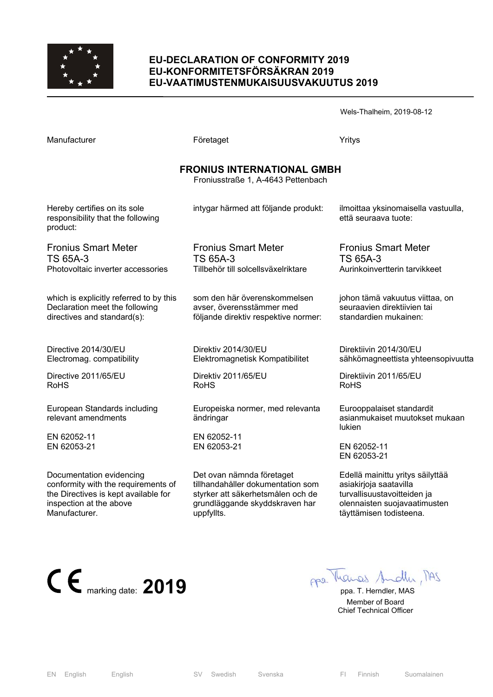

#### **EU-DECLARATION OF CONFORMITY 2019 EU-KONFORMITETSFÖRSÄKRAN 2019 EU-VAATIMUSTENMUKAISUUSVAKUUTUS 2019**

Wels-Thalheim, 2019-08-12

| Manufacturer                                                                  | Företaget                                                               | Yritys                                                                |
|-------------------------------------------------------------------------------|-------------------------------------------------------------------------|-----------------------------------------------------------------------|
|                                                                               | <b>FRONIUS INTERNATIONAL GMBH</b><br>Froniusstraße 1, A-4643 Pettenbach |                                                                       |
| Hereby certifies on its sole<br>responsibility that the following<br>product: | intygar härmed att följande produkt:                                    | ilmoittaa yksinomaisella vastuulla,<br>että seuraava tuote:           |
| <b>Fronius Smart Meter</b>                                                    | <b>Fronius Smart Meter</b>                                              | <b>Fronius Smart Meter</b>                                            |
| <b>TS 65A-3</b>                                                               | <b>TS 65A-3</b>                                                         | <b>TS 65A-3</b>                                                       |
| Photovoltaic inverter accessories                                             | Tillbehör till solcellsväxelriktare                                     | Aurinkoinvertterin tarvikkeet                                         |
| which is explicitly referred to by this                                       | som den här överenskommelsen                                            | johon tämä vakuutus viittaa, on                                       |
| Declaration meet the following                                                | avser, överensstämmer med                                               | seuraavien direktiivien tai                                           |
| directives and standard(s):                                                   | följande direktiv respektive normer:                                    | standardien mukainen:                                                 |
| Directive 2014/30/EU                                                          | Direktiv 2014/30/EU                                                     | Direktiivin 2014/30/EU                                                |
| Electromag. compatibility                                                     | Elektromagnetisk Kompatibilitet                                         | sähkömagneettista yhteensopivuutta                                    |
| Directive 2011/65/EU                                                          | Direktiv 2011/65/EU                                                     | Direktiivin 2011/65/EU                                                |
| <b>RoHS</b>                                                                   | <b>RoHS</b>                                                             | <b>RoHS</b>                                                           |
| European Standards including<br>relevant amendments                           | Europeiska normer, med relevanta<br>ändringar                           | Eurooppalaiset standardit<br>asianmukaiset muutokset mukaan<br>lukien |
| EN 62052-11                                                                   | EN 62052-11                                                             | EN 62052-11                                                           |
| EN 62053-21                                                                   | EN 62053-21                                                             | EN 62053-21                                                           |
| Documentation evidencing                                                      | Det ovan nämnda företaget                                               | Edellä mainittu yritys säilyttää                                      |
| conformity with the requirements of                                           | tillhandahåller dokumentation som                                       | asiakirjoja saatavilla                                                |

styrker att säkerhetsmålen och de grundläggande skyddskraven har

asiakirjoja saatavilla turvallisuustavoitteiden ja olennaisten suojavaatimusten täyttämisen todisteena.



the Directives is kept available for

inspection at the above

Manufacturer.

 Member of Board Chief Technical Officer

uppfyllts.